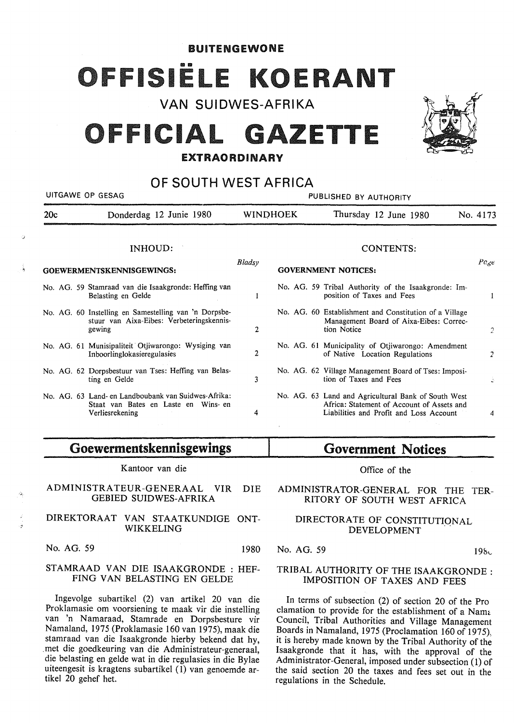## BUITENGEWONE FISIËLE K(

VAN SUIDWES-AFRIKA

# **OFFICIAL GAZETTE**

### EXTRAORDINARY

## OF SOUTH WEST AFRICA

| UITGAWE OP GESAG               | PUBLISHED BY AUTHORITY                                                                                         |                 |                            |  |                                                                                                                                              |                     |
|--------------------------------|----------------------------------------------------------------------------------------------------------------|-----------------|----------------------------|--|----------------------------------------------------------------------------------------------------------------------------------------------|---------------------|
| 20c<br>Donderdag 12 Junie 1980 |                                                                                                                | <b>WINDHOEK</b> |                            |  | Thursday 12 June 1980                                                                                                                        | No. 4173            |
|                                | INHOUD:                                                                                                        |                 |                            |  | <b>CONTENTS:</b>                                                                                                                             |                     |
| GOEWERMENTSKENNISGEWINGS:      |                                                                                                                | Bladsy          | <b>GOVERNMENT NOTICES:</b> |  |                                                                                                                                              | $Pc_{\mathcal{A}}e$ |
|                                | No. AG. 59 Stamraad van die Isaakgronde: Heffing van<br>Belasting en Gelde                                     |                 |                            |  | No. AG. 59 Tribal Authority of the Isaakgronde: Im-<br>position of Taxes and Fees                                                            | -1                  |
|                                | No. AG. 60 Instelling en Samestelling van 'n Dorpsbe-<br>stuur van Aixa-Eibes: Verbeteringskennis-<br>gewing   | 2               |                            |  | No. AG. 60 Establishment and Constitution of a Village<br>Management Board of Aixa-Eibes: Correc-<br>tion Notice                             | 2                   |
|                                | No. AG. 61 Munisipaliteit Otjiwarongo: Wysiging van<br>Inboorling lokasier egulasies                           | $\mathbf{2}$    |                            |  | No. AG. 61 Municipality of Otjiwarongo: Amendment<br>of Native Location Regulations                                                          | 2                   |
|                                | No. AG. 62 Dorpsbestuur van Tses: Heffing van Belas-<br>ting en Gelde                                          | 3               |                            |  | No. AG. 62 Village Management Board of Tses: Imposi-<br>tion of Taxes and Fees                                                               |                     |
|                                | No. AG. 63 Land- en Landboubank van Suidwes-Afrika:<br>Staat van Bates en Laste en Wins- en<br>Verliesrekening | 4               |                            |  | No. AG. 63 Land and Agricultural Bank of South West<br>Africa: Statement of Account of Assets and<br>Liabilities and Profit and Loss Account | 4                   |

## Goewermentskennisgewings

Kantoor van die

#### ADMINISTRATEUR-GENERAAL VIR DIE GEBIED SUIDWES-AFRIKA

#### DIREKTORAAT VAN STAATKUNDIGE ONT-WIKKELING

No. AG. 59 1980

*J* 

#### STAMRAAD VAN DIE ISAAKGRONDE : HEF-FING VAN BELASTING EN GELDE

Ingevolge subartikel (2) van artikel 20 van die Proklamasie om voorsiening te maak vir die instelling van 'n Namaraad, Stamrade en Dorpsbesture vir Namaland, 1975 (Proklamasie 160 van 1975), maak die stamraad van die lsaakgronde hierby bekend dat hy, . met die goedkeuring van die Administrateur-generaal, die belasting en gelde wat in die regulasies in die Bylae uiteengesit is kragtens subartikel ( I) van genoemde artikel 20 gehef het.

## Government Notices Office of the

ADMINISTRATOR-GENERAL FOR THE TER-RITORY OF SOUTH WEST AFRICA

#### DIRECTORATE OF CONSTITUTIQNAL DEVELOPMENT

No. AG. 59 198.

#### TRIBAL AUTHORITY OF THE ISAAKGRONDE : IMPOSITION OF TAXES AND FEES

In terms of subsection (2) of section 20 of the Pro clamation to provide for the establishment of a Nam, Council, Tribal Authorities and Village Management Boards in Namaland, 1975 (Proclamation 160 of 1975), it is hereby made known by the Tribal Authority of the Isaakgronde that it has, with the approval of the Administrator-General, imposed under subsection (1) of the said section 20 the taxes and fees set out in the regulations in the Schedule.

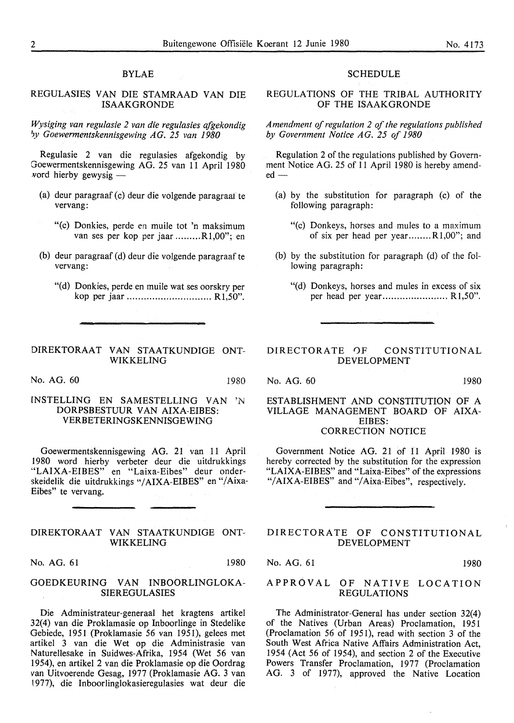#### BYLAE

#### REGULASIES VAN DIE STAMRAAD VAN DIE ISAAKGRONDE

*Wysiging van regulasie 2 van die regulasies afgekondig 'Jy Goewermentskennisgewing AG. 25 van 1980* 

Regulasie 2 van die regulasies afgekondig by Goewermentskennisgewing AG. 25 van 11 April 1980  $\theta$  vord hierby gewysig  $-$ 

- (a) deur paragraaf (c) deur die volgende paragraaf te vervang:
	- "(c) Donkies, perde en muile tot 'n maksimum van ses per kop per jaar ......... Rl,00"; en
- (b) deur paragraaf (d) deur die volgende paragraaf te vervang:
	- "(d) Donkies, perde en muile wat ses oorskry per kop per jaar .............................. RI,50".

#### DIREKTORAAT VAN STAATKUNDIGE ONT-WIKKELING

No. AG. 60 1980

#### [NSTELLING EN SAMESTELLING VAN 'N DORPSBESTUUR VAN AIXA-EIBES: VERBETERINGSKENNISGEWING

Goewermentskennisgewing AG. 21 van 11 April 1980 word hierby verbeter deur die uitdrukkings "LAIXA-EIBES" en "Laixa-Eibes" deur onderskeidelik die uitdrukkings "/AIXA-EIBES" en "/Aixa-Eibes" te vervang.

#### DIREKTORAAT VAN STAATKUNDIGE ONT-WIKKELING

No. AG. 61 1980

#### GOEDKEURING VAN INBOORLINGLOKA-SIEREGULASIES

Die Administrateur-generaal het kragtens artikel 32(4) van die Proklamasie op Inboorlinge in Stedelike Gebiede, 1951 (Proklamasie 56 van 1951), gelees met artikel 3 van die Wet op die Administrasie van Naturellesake in Suidwes-Afrika, 1954 (Wet 56 van 1954), en artikel 2 van die Proklamasie op die Oordrag van Uitvoerende Gesag, 1977 (Proklamasie AG. 3 van I 977), die Inboorlinglokasieregulasies wat deur die

#### SCHEDULE

REGULATIONS OF THE TRIBAL AUTHORITY OF THE ISAAKGRONDE

*Amendment of regulation 2 of the regulations published by Government Notice AG. 25 of 1980* 

Regulation 2 of the regulations published by Government Notice AG. 25 of 11 April 1980 is hereby amend $ed -$ 

- (a) by the substitution for paragraph (c) of the following paragraph:
	- "(c) Donkeys, horses and mules to a maximum of six per head per year ........ R1,00"; and
- (b) by the substitution for paragraph (d) of the following paragraph:
	- "(d) Donkeys, horses and mules in excess of six per head per year........................... R1,50".

#### DIRECTORATE 0F CONSTITUTIONAL DEVELOPMENT

No. AG. 60 1980

#### ESTABLISHMENT AND CONSTITUTION OF A VILLAGE MANAGEMENT BOARD OF AIXA-EIBES: CORRECTION NOTICE

Government Notice AG. 21 of 11 April 1980 is hereby corrected by the substitution for the expression "LAIXA-EIBES" and "Laixa-Eibes" of the expressions "/AIXA-EIBES" and "/Aixa-Eibes", respectively.

#### DIRECTORATE OF CONSTITUTIONAL DEVELOPMENT

No. AG. 61 1980

#### APPROVAL OF NATIVE LOCATION **REGULATIONS**

The Administrator-General has under section 32(4) of the Natives (Urban Areas) Proclamation, 1951 (Proclamation 56 of 1951), read with section 3 of the South West Africa Native Affairs Administration Act, 1954 (Act 56 of 1954), and section 2 of the Executive Powers Transfer Proclamation, 1977 (Proclamation AG. 3 of 1977), approved the Native Location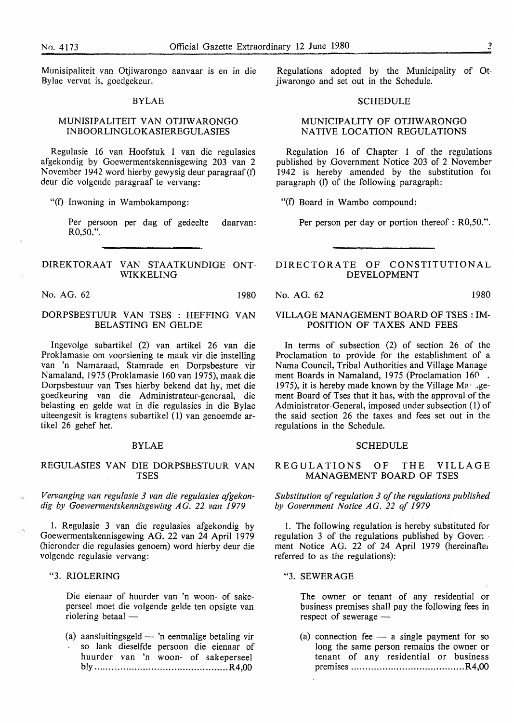Munisipaliteit van Otjiwarongo aanvaar is en in die Bylae vervat is, goedgekeur.

#### BYLAE

#### MUNISIPALITEIT VAN OTJIW ARONGO INBOORLINGLOKASIEREGULASIES

Regulasie 16 van Hoofstuk 1 van die regulasies afgekondig by Goewermentskennisgewing 203 van 2 November 1942 word hierby gewysig deur paragraaf (f) deur die volgende paragraaf te vervang:

"(f) Inwoning in Wambokampong:

Per persoon per dag of gedeelte daarvan: R0,50.".

#### DIREKTORAAT VAN STAATKUNDIGE ONT-WIKKELING

No. AG. 62 1980

#### DORPSBESTUUR VAN TSES : REFFING VAN BELASTING EN GELDE

Ingevolge subartikel (2) van artikel 26 van die Proklamasie om voorsiening te maak vir die instelling van 'n Namaraad, Stamrade en Dorpsbesture vir Namaland, 1975 (Proklamasie 160 van 1975), maak die Dorpsbestuur van Tses hierby bekend dat hy, met die goedkeuring van die Administrateur-generaal, die belasting en gelde wat in die regulasies in die Bylae uiteengesit is kragtens subartikel (1) van genoemde artikel 26 gehef het.

#### **BYLAE**

#### REGULASIES VAN DIE DORPSBESTUUR VAN TSES

*Vervanging van regulasie 3 van die regulasies qfgekondig by Goewermentskennisgewing AG. 22 van 1979* 

1. Regulasie 3 van die regulasies afgekondig by Goewermentskennisgewing AG. 22 van 24 April 1979 (hieronder die regulasies genoem) word hierby deur die volgende regulasie vervang:

#### "3. RIOLERING

Die eienaar of huurder van 'n woon- of sakeperseel moet die volgende gelde ten opsigte van riolering betaal -

(a) aansluitingsgeld  $-$  'n eenmalige betaling vir so lank dieselfde persoon die eienaar of huurder van 'n woon- of sakeperseel bly ............................................... R4,00

Regulations adopted by the Municipality of Otjiwarongo and set out in the Schedule.

#### **SCHEDULE**

#### MUNICIPALITY OF OTJIWARONGO NATIVE LOCATION REGULATIONS

Regulation 16 of Chapter 1 of the regulations published by Government Notice 203 of 2 November  $1942$  is hereby amended by the substitution for paragraph (f) of the following paragraph:

"(f) Board in Wambo compound:

Per person per day or portion thereof: R0,50.".

#### DIRECTORATE OF CONSTITUTIONAL DEVELOPMENT

No. AG. 62 1980

#### VILLAGE MANAGEMENT BOARD OF TSES : IM-POSITION OF TAXES AND FEES

In terms of subsection (2) of section 26 of the Proclamation to provide for the establishment of a Nama Council, Tribal Authorities and Village Manage ment Boards in Namaland, 1975 (Proclamation 160 1975), it is hereby made known by the Village Ma $\degree$  -gement Board of Tses that it has, with the approval of the Administrator-General, imposed under subsection (1) of the said section 26 the taxes and fees set out in the regulations in the Schedule.

#### SCHEDULE

#### REGULATIONS OF THE VILLAGE MANAGEMENT BOARD OF TSES

*Substitution of regulation 3 of the regulations published by Government Notice AG. 22 of 1979* 

1. The following regulation is hereby substituted for regulation 3 of the regulations published by Goven · ment Notice AG. 22 of 24 April 1979 (hereinaftel referred to as the regulations):

"3. SEWERAGE

The owner or tenant of any residential or business premises shall pay the following fees in respect of sewerage -

(a) connection fee  $-$  a single payment for so long the same person remains the owner or tenant of any residential or business premises ........................................ R4,00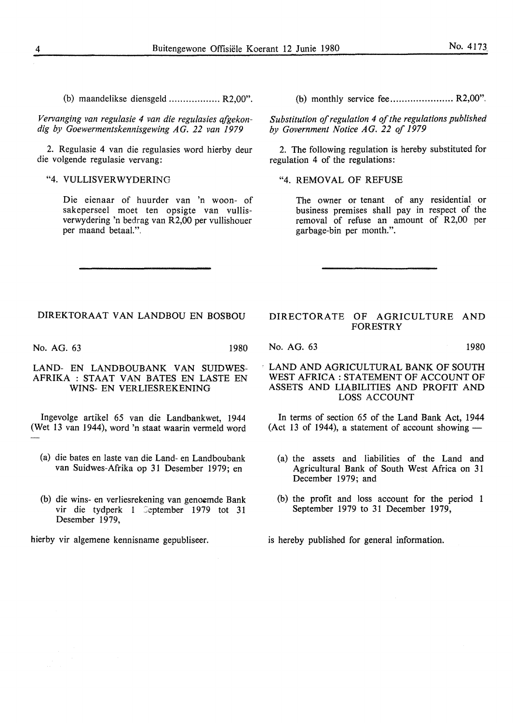(b) maandelikse diensgeld .................. R2,00".

*Vervanging van regulasie 4 van die regulasies afgekondig by Goewermentskennisgewing AG. 22 van 1979* 

2. Regulasie 4 van die regulasies word hierby deur die volgende regulasie vervang:

#### "4. VULLISVER WYDERING

Die eienaar of huurder van 'n woon- of sakeperseel moet ten opsigte van vullisverwydering 'n bedrag van R2,00 per vullishouer per maand betaal.".

(b) monthly service fee...........................  $R2,00$ ".

*Substitution of regulation 4 of the regulations published by Government Notice AG. 22 of 1979* 

2. The following regulation is hereby substituted for regulation 4 of the regulations:

#### "4. REMOVAL OF REFUSE

The owner or tenant of any residential or business premises shall pay in respect of the removal of refuse an amount of R2,00 per garbage-bin per month.".

#### DIREKTORAAT VAN LANDBOU EN BOSBOU

No. AG. 63 1980

#### LAND- EN LANDBOUBANK VAN SUIDWES-AFRIKA : STAAT VAN BATES EN LASTE EN **WINS-** EN VERLIESREKENING

Ingevolge artikel 65 van die Landbankwet, 1944 (Wet 13 van 1944), word 'n staat waarin vermeld word

- (a) die bates en laste van die Land- en Landboubank van Suidwes-Afrika op 31 Desember 1979; en
- (b) die wins- en verliesrekening van genoemde Bank vir die tydperk 1 September 1979 tot 31 Desember 1979,

hierby vir algemene kennisname gepubliseer.

#### DIRECTORATE OF AGRICULTURE AND **FORESTRY**

No. AG. 63 1980

#### LAND AND AGRICULTURAL BANK OF SOUTH WEST AFRICA : STATEMENT OF ACCOUNT OF ASSETS AND LIABILITIES AND PROFIT AND LOSS ACCOUNT

In terms of section 65 of the Land Bank Act, 1944 (Act 13 of 1944), a statement of account showing  $-$ 

- (a) the assets and liabilities of the Land and Agricultural Bank of South West Africa on 31 December 1979; and
- (b) the profit and loss account for the period 1 September 1979 to 31 December 1979,

is hereby published for general information.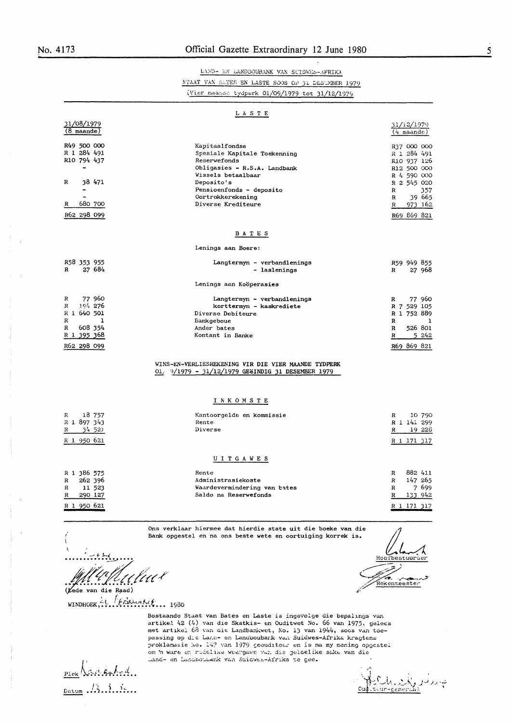#### LAND- EN LANDBOUBANK VAN SCIDWES-AFRIKA

STAAT VAN SATES EN LASTE SOOS OP 31 DESUMBER 1979

(Vier maande tydperk 01/09/1979 tot 31/12/1979

|                                                                                                    | LASTE                                                                                                                         |                                                                                                  |
|----------------------------------------------------------------------------------------------------|-------------------------------------------------------------------------------------------------------------------------------|--------------------------------------------------------------------------------------------------|
| 31/08/1979<br>maande)<br>18 I                                                                      |                                                                                                                               | 31/12/1979<br>(4 maande)                                                                         |
| R49 500 000<br>R 1 284 491<br>R10 794 437                                                          | Kapitaalfondse<br>Spesiale Kapitale Toekenning<br>Reservefonds<br>Obligasies - R.S.A. Landbank<br>Wissels betaalbaar          | R37 000 000<br>R 1 284 491<br>R10 937 126<br>R12 500 000<br>R 4 590 000                          |
| 38 471<br>R                                                                                        | Deposito's<br>Pensioenfonds - deposito<br>Oortrokkerekening                                                                   | R 2 545 020<br>357<br>R<br>39 665<br>R                                                           |
| 680 700<br>R<br>R62 298 099                                                                        | Diverse Krediteure                                                                                                            | 973 162<br>$\mathbf R$<br>R69 869 821                                                            |
|                                                                                                    | BATES                                                                                                                         |                                                                                                  |
|                                                                                                    | Lenings aan Boere:                                                                                                            |                                                                                                  |
| R58 353 955<br>27 684<br>R                                                                         | Langtermyn - verbandlenings<br>- laslenings                                                                                   | R59 949 855<br>R<br>27968                                                                        |
|                                                                                                    | Lenings aan Koöperasies                                                                                                       |                                                                                                  |
| 77 960<br>R<br>194 276<br>R<br>R 1 640 501<br>R<br>1<br>R<br>608 354<br>R 1 395 368<br>R62 298 099 | Langtermyn - verbandlenings<br>korttermyn - kaskrediete<br>Diverse Debiteure<br>Bankgeboue<br>Ander bates<br>Kontant in Banke | 77 960<br>R<br>R 7 529 105<br>R 1 752 889<br>R<br>ı<br>526 801<br>R<br>R<br>5 242<br>R69 869 821 |
|                                                                                                    | WINS-EN-VERLIESREKENING VIR DIE VIER MAANDE TYDPERK<br>$01/9/1979 - 31/12/1979$ GEGINDIG 31 DESEMBER 1979                     |                                                                                                  |
|                                                                                                    | INKOMSTE                                                                                                                      |                                                                                                  |
| 18 757<br>R<br>R 1 897 343<br>34 521<br>R<br>R 1 950 621                                           | Kantoorgelde en kommissie<br>Rente<br>Diverse                                                                                 | 10 790<br>R<br>R 1 141 299<br>19 228<br>R<br>R 1 171 317                                         |
|                                                                                                    | UITGAWES                                                                                                                      |                                                                                                  |
| R 1 386 575<br>262 396<br>R<br>11 523<br>R<br>R<br>290 127<br>R 1 950 621                          | Rente<br>Administrasiekoste<br>Waardevermindering van bates<br>Saldo na Reserwefonds                                          | 882 411<br>R<br>$\mathbf{R}$<br>147 265<br>7 699<br>$\mathbf{R}$<br>133 942<br>R<br>R 1 171 317  |
|                                                                                                    | Ons verklaar hiermee dat hierdie state uit die boeke van die                                                                  | $\Lambda$                                                                                        |

Bank opgestel en na ons beste wete en oortuiging korrek is.

*·~?S-<*  Frank opgestel en na ons beste wete en oortuiging korrek is.<br>Hoofbestuurder<br>Gede van die Raad)

~- . *r·.* , . WINDHOEK,";l· • .'.f.f~:1 !:i.t· .•. 1980

Plek (181. kal od.

Datum • /:) •• 2 .. f ';' ...

Bostaande Staat van Bates en Laste is ingevolge die bepalings van artikel 42 (4) van die Skatkis- en Ouditwet No. 66 van 1975, gelees met artikel 68 van die Landbankwet, No. 13 van 1944, soos van toepassing op die Land- en Landboubark van Suidw<mark>es-Afrika kragtens</mark><br>proklamasie No. 147 van 1979 geouditeer en is na my mening opgestel om 'n ware en redelike weergawe van die geloelike sake van die Land- en Landooutank van Suidwes-Afrika te gee.

,,. -.,J " ' : ' 1~".:. \ \_ \_,t,\ •. ,: ... ,.l *J....J.J~,* ·7" tour-genera

Hocrbestuuruer

 $Re$ kekenmeester

-------:~ '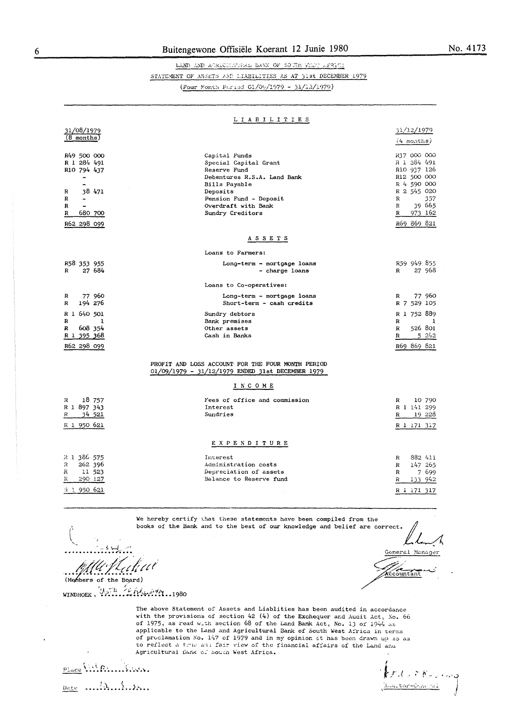#### LAND AND ACRICULTURAL BANK OF SOUTH WEET LERICA

STATEMENT OF ASSETS AND LIABILITIES AS AT 31st DECEMBER 1979

(Four Month Pariod 61/09/1979 - 31/13/1979)

|                                                                           | LIABILITIES                                                                                            |                                                                                                            |
|---------------------------------------------------------------------------|--------------------------------------------------------------------------------------------------------|------------------------------------------------------------------------------------------------------------|
| 31/08/1979                                                                |                                                                                                        | 31/12/1979                                                                                                 |
| (8 months)                                                                |                                                                                                        | $(4$ months)                                                                                               |
| R49 500 000<br>R 1 284 491<br>R10 794 437                                 | Capital Funds<br>Special Capital Grant<br>Reserve Fund<br>Debentures R.S.A. Land Bank<br>Bills Payable | R37 000 000<br>R 1 284 491<br>RIO 937 126<br>R12 500 000<br>R 4 590 000                                    |
| 38 471<br>R<br>R<br>$\mathbf R$<br>R                                      | Deposits<br>Pension Fund - Deposit<br>Overdraft with Bank<br>Sundry Creditors                          | R 2 545 020<br>R<br>357<br>39 665<br>R<br>973 162<br>R                                                     |
| 680 700<br>R62 298 099                                                    |                                                                                                        | R69 869 821                                                                                                |
|                                                                           |                                                                                                        |                                                                                                            |
|                                                                           | ASSETS                                                                                                 |                                                                                                            |
|                                                                           | Loans to Farmers:                                                                                      |                                                                                                            |
| R58 353 955<br>27 684<br>R                                                | Long-term - mortgage loans<br>- charge loans                                                           | R59 949 855<br>27 968<br>R                                                                                 |
|                                                                           | Loans to Co-operatives:                                                                                |                                                                                                            |
| 77 960<br>R<br>194 276<br>R                                               | Long-term - mortgage loans<br>Short-term - cash credits                                                | 77 960<br>R<br>R 7 529 105                                                                                 |
| R 1 640 501<br>1<br>R<br>608 354<br>R<br>R 1 395 368<br>R62 298 099       | Sundry debtors<br>Bank premises<br>Other assets<br>Cash in Banks                                       | R 1 752 889<br>R<br>1<br>526 801<br>$\mathbb{R}$<br>5242<br>R<br>R69 869 821                               |
|                                                                           | PROFIT AND LOSS ACCOUNT FOR THE FOUR MONTH PERIOD<br>01/09/1979 - 31/12/1979 ENDED 31st DECEMBER 1979  |                                                                                                            |
|                                                                           | INCOME                                                                                                 |                                                                                                            |
| 18 757<br>R<br>R 1 897 343<br>34 521<br>R<br>R 1 950 621                  | Fees of office and commission<br>Interest<br>Sundries                                                  | 10 790<br>R<br>R 1 141 299<br>19 228<br>R<br>R 1 171 317                                                   |
|                                                                           | EXPENDITURE                                                                                            |                                                                                                            |
| R 1 386 575<br>R<br>262 396<br>11 523<br>R<br>290 127<br>R<br>8 1 950 621 | Interest<br>Administration costs<br>Depreciation of assets<br>Balance to Reserve fund<br>A.            | 882 411<br>$\mathbb{R}$<br>147 265<br>$\mathbb{R}$<br>7 699<br>$\mathbb{R}$<br>133 942<br>R<br>R 1 171 317 |
|                                                                           |                                                                                                        |                                                                                                            |

We hereby certify that these statements have been compiled from the books of the Bank and to the best of our knowledge and belief are correct.

atiac

(Members of the Board) WINDHOEK, V. T. E. HAWATI..1980

> The above Statement of Assets and Liablities has been audited in accordance with the provisions of section 42 (4) of the Exchequer and Audit Act, No. 66 of 1975, as read with section 68 of the Land Bank Act, No. 13 of 1944 as applicable to the Land and Agricultural Bank of South West Africa in terms of proclamation No. 147 of 1979 and in my opinion it has been drawn up so as to reflect a true and fair view of the financial affairs of the Land and Agricultural Dank of South West Africa.

デイティガニ laitor-Glacei

General Manager

countant

6

Place Wilfling Will.  $p_{\text{ate}}$  .... $\lambda$ ... $\lambda$ ...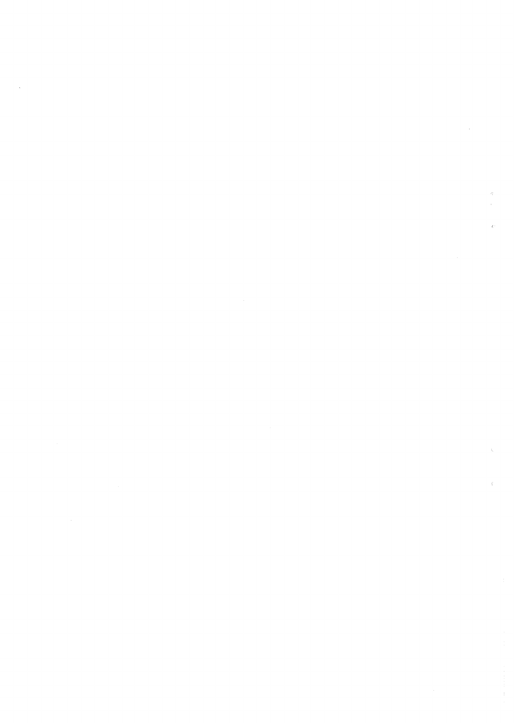$\frac{1}{2} \left( \frac{1}{2} \right)$  ,  $\frac{1}{2} \left( \frac{1}{2} \right)$ 

 $\frac{d\vec{q}}{d\vec{q}} =$  $\frac{1}{\sqrt{2}}$ 

 $\mathcal{R}_{\mathrm{max}}$  $\hat{X}^{(n)}$  ,  $\hat{X}^{(n)}$